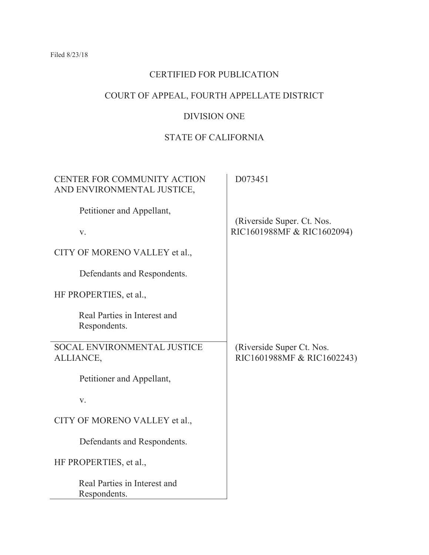# CERTIFIED FOR PUBLICATION

# COURT OF APPEAL, FOURTH APPELLATE DISTRICT

# DIVISION ONE

# STATE OF CALIFORNIA

| CENTER FOR COMMUNITY ACTION<br>AND ENVIRONMENTAL JUSTICE, | D073451                                                  |
|-----------------------------------------------------------|----------------------------------------------------------|
| Petitioner and Appellant,                                 |                                                          |
| V.                                                        | (Riverside Super. Ct. Nos.<br>RIC1601988MF & RIC1602094) |
| CITY OF MORENO VALLEY et al.,                             |                                                          |
| Defendants and Respondents.                               |                                                          |
| HF PROPERTIES, et al.,                                    |                                                          |
| Real Parties in Interest and<br>Respondents.              |                                                          |
| SOCAL ENVIRONMENTAL JUSTICE<br>ALLIANCE,                  | (Riverside Super Ct. Nos.)<br>RIC1601988MF & RIC1602243) |
| Petitioner and Appellant,                                 |                                                          |
| V.                                                        |                                                          |
| CITY OF MORENO VALLEY et al.,                             |                                                          |
| Defendants and Respondents.                               |                                                          |
| HF PROPERTIES, et al.,                                    |                                                          |
| Real Parties in Interest and<br>Respondents.              |                                                          |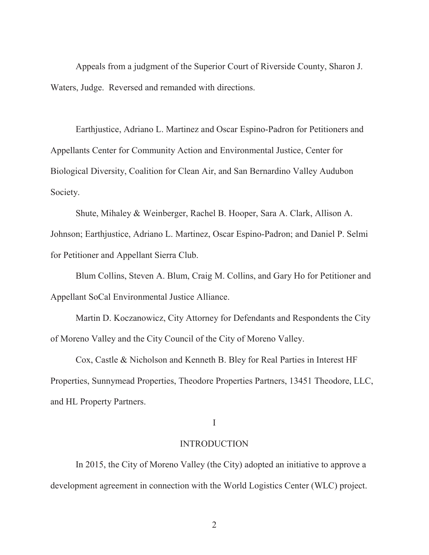Appeals from a judgment of the Superior Court of Riverside County, Sharon J. Waters, Judge. Reversed and remanded with directions.

Earthjustice, Adriano L. Martinez and Oscar Espino-Padron for Petitioners and Appellants Center for Community Action and Environmental Justice, Center for Biological Diversity, Coalition for Clean Air, and San Bernardino Valley Audubon Society.

Shute, Mihaley & Weinberger, Rachel B. Hooper, Sara A. Clark, Allison A. Johnson; Earthjustice, Adriano L. Martinez, Oscar Espino-Padron; and Daniel P. Selmi for Petitioner and Appellant Sierra Club.

Blum Collins, Steven A. Blum, Craig M. Collins, and Gary Ho for Petitioner and Appellant SoCal Environmental Justice Alliance.

Martin D. Koczanowicz, City Attorney for Defendants and Respondents the City of Moreno Valley and the City Council of the City of Moreno Valley.

Cox, Castle & Nicholson and Kenneth B. Bley for Real Parties in Interest HF Properties, Sunnymead Properties, Theodore Properties Partners, 13451 Theodore, LLC, and HL Property Partners.

#### I

### INTRODUCTION

In 2015, the City of Moreno Valley (the City) adopted an initiative to approve a development agreement in connection with the World Logistics Center (WLC) project.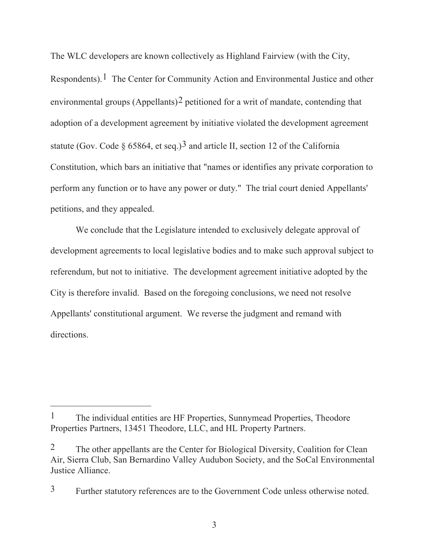The WLC developers are known collectively as Highland Fairview (with the City, Respondents).<sup>1</sup> The Center for Community Action and Environmental Justice and other environmental groups  $(Appellants)^2$  petitioned for a writ of mandate, contending that adoption of a development agreement by initiative violated the development agreement statute (Gov. Code § 65864, et seq.)<sup>3</sup> and article II, section 12 of the California Constitution, which bars an initiative that "names or identifies any private corporation to perform any function or to have any power or duty." The trial court denied Appellants' petitions, and they appealed.

We conclude that the Legislature intended to exclusively delegate approval of development agreements to local legislative bodies and to make such approval subject to referendum, but not to initiative. The development agreement initiative adopted by the City is therefore invalid. Based on the foregoing conclusions, we need not resolve Appellants' constitutional argument. We reverse the judgment and remand with directions.

<sup>&</sup>lt;sup>1</sup> The individual entities are HF Properties, Sunnymead Properties, Theodore Properties Partners, 13451 Theodore, LLC, and HL Property Partners.

<sup>&</sup>lt;sup>2</sup> The other appellants are the Center for Biological Diversity, Coalition for Clean Air, Sierra Club, San Bernardino Valley Audubon Society, and the SoCal Environmental Justice Alliance.

<sup>3</sup> Further statutory references are to the Government Code unless otherwise noted.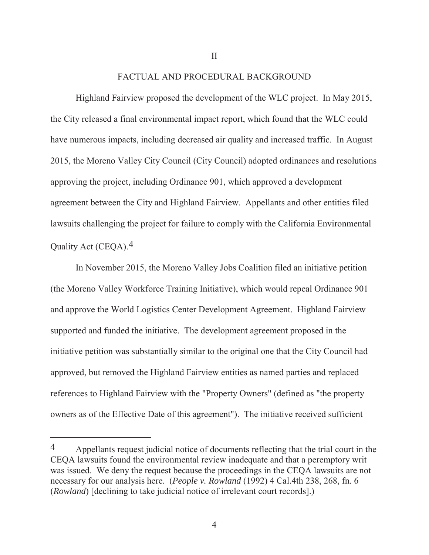# FACTUAL AND PROCEDURAL BACKGROUND

Highland Fairview proposed the development of the WLC project. In May 2015, the City released a final environmental impact report, which found that the WLC could have numerous impacts, including decreased air quality and increased traffic. In August 2015, the Moreno Valley City Council (City Council) adopted ordinances and resolutions approving the project, including Ordinance 901, which approved a development agreement between the City and Highland Fairview. Appellants and other entities filed lawsuits challenging the project for failure to comply with the California Environmental Quality Act (CEQA).4

In November 2015, the Moreno Valley Jobs Coalition filed an initiative petition (the Moreno Valley Workforce Training Initiative), which would repeal Ordinance 901 and approve the World Logistics Center Development Agreement. Highland Fairview supported and funded the initiative. The development agreement proposed in the initiative petition was substantially similar to the original one that the City Council had approved, but removed the Highland Fairview entities as named parties and replaced references to Highland Fairview with the "Property Owners" (defined as "the property owners as of the Effective Date of this agreement"). The initiative received sufficient

II

<sup>4</sup> Appellants request judicial notice of documents reflecting that the trial court in the CEQA lawsuits found the environmental review inadequate and that a peremptory writ was issued. We deny the request because the proceedings in the CEQA lawsuits are not necessary for our analysis here. (*People v. Rowland* (1992) 4 Cal.4th 238, 268, fn. 6 (*Rowland*) [declining to take judicial notice of irrelevant court records].)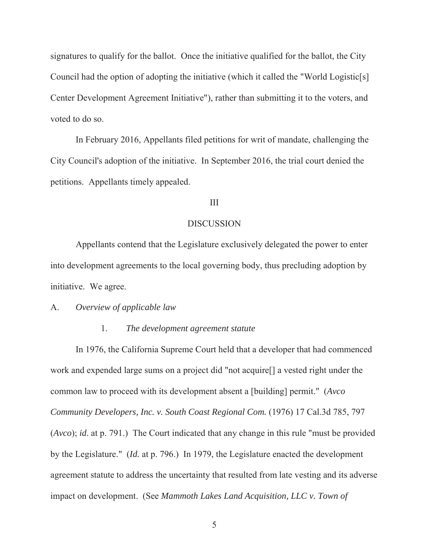signatures to qualify for the ballot. Once the initiative qualified for the ballot, the City Council had the option of adopting the initiative (which it called the "World Logistic[s] Center Development Agreement Initiative"), rather than submitting it to the voters, and voted to do so.

In February 2016, Appellants filed petitions for writ of mandate, challenging the City Council's adoption of the initiative. In September 2016, the trial court denied the petitions. Appellants timely appealed.

### III

### DISCUSSION

Appellants contend that the Legislature exclusively delegated the power to enter into development agreements to the local governing body, thus precluding adoption by initiative. We agree.

## A. *Overview of applicable law*

## 1. *The development agreement statute*

In 1976, the California Supreme Court held that a developer that had commenced work and expended large sums on a project did "not acquire[] a vested right under the common law to proceed with its development absent a [building] permit." (*Avco Community Developers, Inc. v. South Coast Regional Com.* (1976) 17 Cal.3d 785, 797 (*Avco*); *id*. at p. 791.) The Court indicated that any change in this rule "must be provided by the Legislature." (*Id.* at p. 796.) In 1979, the Legislature enacted the development agreement statute to address the uncertainty that resulted from late vesting and its adverse impact on development. (See *Mammoth Lakes Land Acquisition, LLC v. Town of*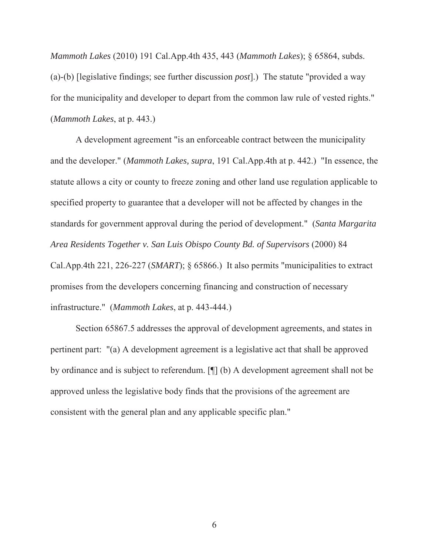*Mammoth Lakes* (2010) 191 Cal.App.4th 435, 443 (*Mammoth Lakes*); § 65864, subds. (a)-(b) [legislative findings; see further discussion *post*].) The statute "provided a way for the municipality and developer to depart from the common law rule of vested rights." (*Mammoth Lakes*, at p. 443.)

A development agreement "is an enforceable contract between the municipality and the developer." (*Mammoth Lakes, supra*, 191 Cal.App.4th at p. 442.) "In essence, the statute allows a city or county to freeze zoning and other land use regulation applicable to specified property to guarantee that a developer will not be affected by changes in the standards for government approval during the period of development." (*Santa Margarita Area Residents Together v. San Luis Obispo County Bd. of Supervisors* (2000) 84 Cal.App.4th 221, 226-227 (*SMART*); § 65866.) It also permits "municipalities to extract promises from the developers concerning financing and construction of necessary infrastructure." (*Mammoth Lakes*, at p. 443-444.)

Section 65867.5 addresses the approval of development agreements, and states in pertinent part: "(a) A development agreement is a legislative act that shall be approved by ordinance and is subject to referendum. [¶] (b) A development agreement shall not be approved unless the legislative body finds that the provisions of the agreement are consistent with the general plan and any applicable specific plan."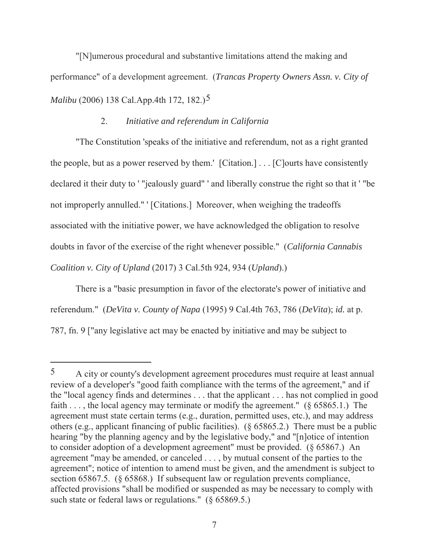"[N]umerous procedural and substantive limitations attend the making and performance" of a development agreement. (*Trancas Property Owners Assn. v. City of Malibu* (2006) 138 Cal.App.4th 172, 182.)5

# 2. *Initiative and referendum in California*

"The Constitution 'speaks of the initiative and referendum, not as a right granted the people, but as a power reserved by them.' [Citation.] . . . [C]ourts have consistently declared it their duty to ' "jealously guard" ' and liberally construe the right so that it ' "be not improperly annulled." ' [Citations.] Moreover, when weighing the tradeoffs associated with the initiative power, we have acknowledged the obligation to resolve doubts in favor of the exercise of the right whenever possible." (*California Cannabis Coalition v. City of Upland* (2017) 3 Cal.5th 924, 934 (*Upland*).)

There is a "basic presumption in favor of the electorate's power of initiative and referendum." (*DeVita v. County of Napa* (1995) 9 Cal.4th 763, 786 (*DeVita*); *id.* at p. 787, fn. 9 ["any legislative act may be enacted by initiative and may be subject to

<sup>5</sup> A city or county's development agreement procedures must require at least annual review of a developer's "good faith compliance with the terms of the agreement," and if the "local agency finds and determines . . . that the applicant . . . has not complied in good faith . . . , the local agency may terminate or modify the agreement."  $(\S 65865.1)$  The agreement must state certain terms (e.g., duration, permitted uses, etc.), and may address others (e.g., applicant financing of public facilities). (§ 65865.2.) There must be a public hearing "by the planning agency and by the legislative body," and "[n]otice of intention to consider adoption of a development agreement" must be provided. (§ 65867.) An agreement "may be amended, or canceled . . . , by mutual consent of the parties to the agreement"; notice of intention to amend must be given, and the amendment is subject to section 65867.5. (§ 65868.) If subsequent law or regulation prevents compliance, affected provisions "shall be modified or suspended as may be necessary to comply with such state or federal laws or regulations." (§ 65869.5.)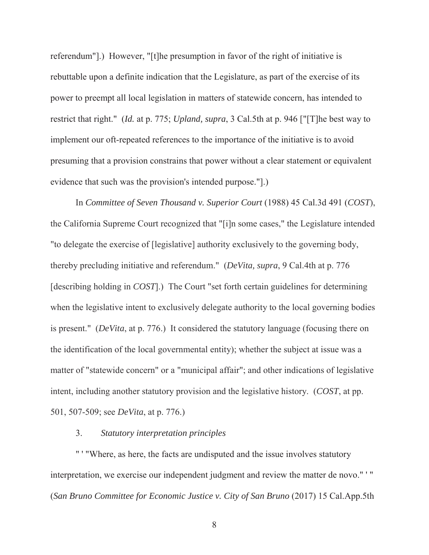referendum"].) However, "[t]he presumption in favor of the right of initiative is rebuttable upon a definite indication that the Legislature, as part of the exercise of its power to preempt all local legislation in matters of statewide concern, has intended to restrict that right." (*Id.* at p. 775; *Upland, supra*, 3 Cal.5th at p. 946 ["[T]he best way to implement our oft-repeated references to the importance of the initiative is to avoid presuming that a provision constrains that power without a clear statement or equivalent evidence that such was the provision's intended purpose."].)

In *Committee of Seven Thousand v. Superior Court* (1988) 45 Cal.3d 491 (*COST*), the California Supreme Court recognized that "[i]n some cases," the Legislature intended "to delegate the exercise of [legislative] authority exclusively to the governing body, thereby precluding initiative and referendum." (*DeVita, supra*, 9 Cal.4th at p. 776 [describing holding in *COST*].) The Court "set forth certain guidelines for determining when the legislative intent to exclusively delegate authority to the local governing bodies is present." (*DeVita*, at p. 776.) It considered the statutory language (focusing there on the identification of the local governmental entity); whether the subject at issue was a matter of "statewide concern" or a "municipal affair"; and other indications of legislative intent, including another statutory provision and the legislative history. (*COST*, at pp. 501, 507-509; see *DeVita*, at p. 776.)

### 3. *Statutory interpretation principles*

" ' "Where, as here, the facts are undisputed and the issue involves statutory interpretation, we exercise our independent judgment and review the matter de novo." ' " (*San Bruno Committee for Economic Justice v. City of San Bruno* (2017) 15 Cal.App.5th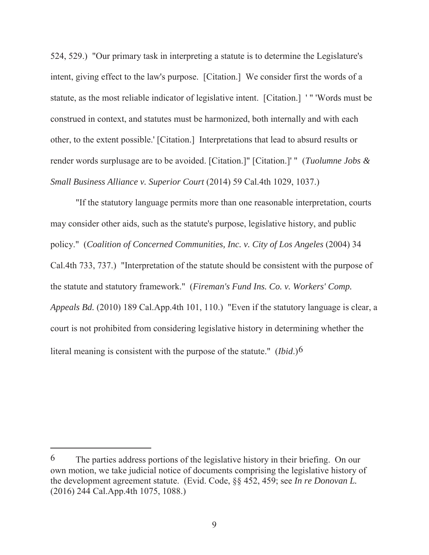524, 529.) "Our primary task in interpreting a statute is to determine the Legislature's intent, giving effect to the law's purpose. [Citation.] We consider first the words of a statute, as the most reliable indicator of legislative intent. [Citation.] ' " 'Words must be construed in context, and statutes must be harmonized, both internally and with each other, to the extent possible.' [Citation.] Interpretations that lead to absurd results or render words surplusage are to be avoided. [Citation.]" [Citation.]' " (*Tuolumne Jobs & Small Business Alliance v. Superior Court* (2014) 59 Cal.4th 1029, 1037.)

"If the statutory language permits more than one reasonable interpretation, courts may consider other aids, such as the statute's purpose, legislative history, and public policy." (*Coalition of Concerned Communities, Inc. v. City of Los Angeles* (2004) 34 Cal.4th 733, 737.) "Interpretation of the statute should be consistent with the purpose of the statute and statutory framework." (*Fireman's Fund Ins. Co. v. Workers' Comp. Appeals Bd.* (2010) 189 Cal.App.4th 101, 110.) "Even if the statutory language is clear, a court is not prohibited from considering legislative history in determining whether the literal meaning is consistent with the purpose of the statute." (*Ibid*.)6

 $6$  The parties address portions of the legislative history in their briefing. On our own motion, we take judicial notice of documents comprising the legislative history of the development agreement statute. (Evid. Code, §§ 452, 459; see *In re Donovan L.* (2016) 244 Cal.App.4th 1075, 1088.)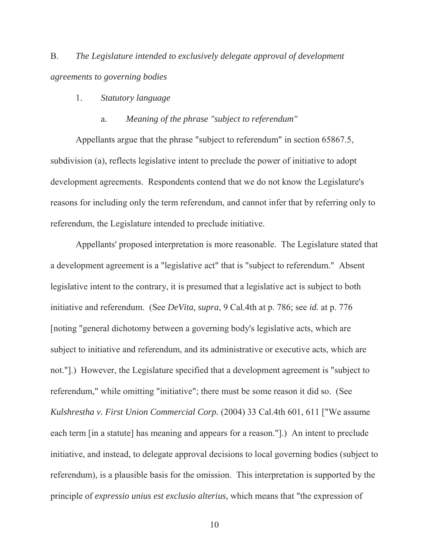B. *The Legislature intended to exclusively delegate approval of development agreements to governing bodies*

- 1. *Statutory language*
	- a. *Meaning of the phrase "subject to referendum"*

Appellants argue that the phrase "subject to referendum" in section 65867.5, subdivision (a), reflects legislative intent to preclude the power of initiative to adopt development agreements. Respondents contend that we do not know the Legislature's reasons for including only the term referendum, and cannot infer that by referring only to referendum, the Legislature intended to preclude initiative.

Appellants' proposed interpretation is more reasonable. The Legislature stated that a development agreement is a "legislative act" that is "subject to referendum." Absent legislative intent to the contrary, it is presumed that a legislative act is subject to both initiative and referendum. (See *DeVita, supra*, 9 Cal.4th at p. 786; see *id.* at p. 776 [noting "general dichotomy between a governing body's legislative acts, which are subject to initiative and referendum, and its administrative or executive acts, which are not."].) However, the Legislature specified that a development agreement is "subject to referendum," while omitting "initiative"; there must be some reason it did so. (See *Kulshrestha v. First Union Commercial Corp.* (2004) 33 Cal.4th 601, 611 ["We assume each term [in a statute] has meaning and appears for a reason."].) An intent to preclude initiative, and instead, to delegate approval decisions to local governing bodies (subject to referendum), is a plausible basis for the omission. This interpretation is supported by the principle of *expressio unius est exclusio alterius*, which means that "the expression of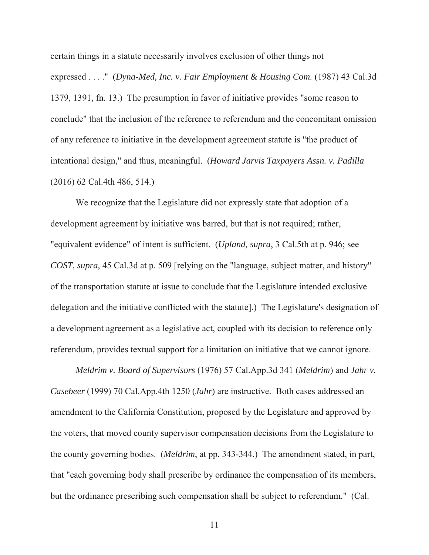certain things in a statute necessarily involves exclusion of other things not expressed . . . ." (*Dyna-Med, Inc. v. Fair Employment & Housing Com.* (1987) 43 Cal.3d 1379, 1391, fn. 13.) The presumption in favor of initiative provides "some reason to conclude" that the inclusion of the reference to referendum and the concomitant omission of any reference to initiative in the development agreement statute is "the product of intentional design," and thus, meaningful. (*Howard Jarvis Taxpayers Assn. v. Padilla* (2016) 62 Cal.4th 486, 514.)

We recognize that the Legislature did not expressly state that adoption of a development agreement by initiative was barred, but that is not required; rather, "equivalent evidence" of intent is sufficient. (*Upland, supra*, 3 Cal.5th at p. 946; see *COST, supra*, 45 Cal.3d at p. 509 [relying on the "language, subject matter, and history" of the transportation statute at issue to conclude that the Legislature intended exclusive delegation and the initiative conflicted with the statute].) The Legislature's designation of a development agreement as a legislative act, coupled with its decision to reference only referendum, provides textual support for a limitation on initiative that we cannot ignore.

*Meldrim v. Board of Supervisors* (1976) 57 Cal.App.3d 341 (*Meldrim*) and *Jahr v. Casebeer* (1999) 70 Cal.App.4th 1250 (*Jahr*) are instructive. Both cases addressed an amendment to the California Constitution, proposed by the Legislature and approved by the voters, that moved county supervisor compensation decisions from the Legislature to the county governing bodies. (*Meldrim*, at pp. 343-344.) The amendment stated, in part, that "each governing body shall prescribe by ordinance the compensation of its members, but the ordinance prescribing such compensation shall be subject to referendum." (Cal.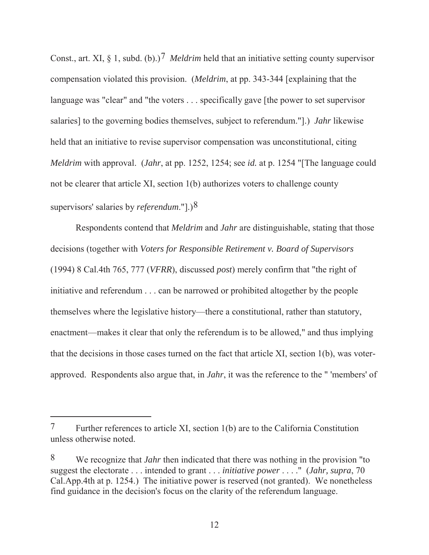Const., art. XI, § 1, subd. (b).)<sup>7</sup> *Meldrim* held that an initiative setting county supervisor compensation violated this provision. (*Meldrim*, at pp. 343-344 [explaining that the language was "clear" and "the voters . . . specifically gave [the power to set supervisor salaries] to the governing bodies themselves, subject to referendum."].) *Jahr* likewise held that an initiative to revise supervisor compensation was unconstitutional, citing *Meldrim* with approval. (*Jahr*, at pp. 1252, 1254; see *id.* at p. 1254 "[The language could not be clearer that article XI, section 1(b) authorizes voters to challenge county supervisors' salaries by *referendum*."].)8

Respondents contend that *Meldrim* and *Jahr* are distinguishable, stating that those decisions (together with *Voters for Responsible Retirement v. Board of Supervisors* (1994) 8 Cal.4th 765, 777 (*VFRR*), discussed *post*) merely confirm that "the right of initiative and referendum . . . can be narrowed or prohibited altogether by the people themselves where the legislative history—there a constitutional, rather than statutory, enactment—makes it clear that only the referendum is to be allowed," and thus implying that the decisions in those cases turned on the fact that article XI, section 1(b), was voterapproved. Respondents also argue that, in *Jahr*, it was the reference to the " 'members' of

<sup>7</sup> Further references to article XI, section 1(b) are to the California Constitution unless otherwise noted.

<sup>8</sup> We recognize that *Jahr* then indicated that there was nothing in the provision "to suggest the electorate . . . intended to grant . . . *initiative power* . . . ." (*Jahr, supra*, 70 Cal.App.4th at p. 1254.) The initiative power is reserved (not granted). We nonetheless find guidance in the decision's focus on the clarity of the referendum language.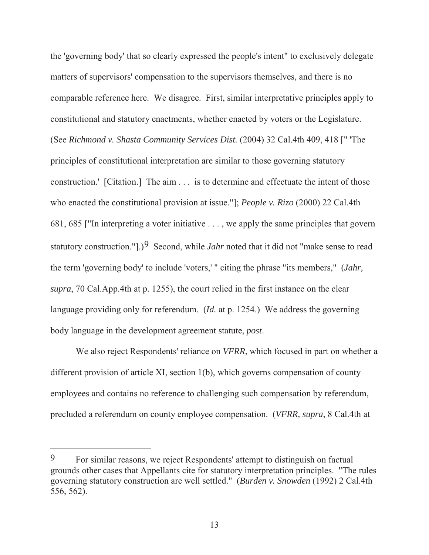the 'governing body' that so clearly expressed the people's intent" to exclusively delegate matters of supervisors' compensation to the supervisors themselves, and there is no comparable reference here. We disagree. First, similar interpretative principles apply to constitutional and statutory enactments, whether enacted by voters or the Legislature. (See *Richmond v. Shasta Community Services Dist.* (2004) 32 Cal.4th 409, 418 [" 'The principles of constitutional interpretation are similar to those governing statutory construction.' [Citation.] The aim . . . is to determine and effectuate the intent of those who enacted the constitutional provision at issue."]; *People v. Rizo* (2000) 22 Cal.4th 681, 685 ["In interpreting a voter initiative . . . , we apply the same principles that govern statutory construction."].)9 Second, while *Jahr* noted that it did not "make sense to read the term 'governing body' to include 'voters,' " citing the phrase "its members," (*Jahr, supra*, 70 Cal.App.4th at p. 1255), the court relied in the first instance on the clear language providing only for referendum. (*Id.* at p. 1254.) We address the governing body language in the development agreement statute, *post*.

We also reject Respondents' reliance on *VFRR*, which focused in part on whether a different provision of article XI, section 1(b), which governs compensation of county employees and contains no reference to challenging such compensation by referendum, precluded a referendum on county employee compensation. (*VFRR, supra*, 8 Cal.4th at

<sup>9</sup> For similar reasons, we reject Respondents' attempt to distinguish on factual grounds other cases that Appellants cite for statutory interpretation principles. "The rules governing statutory construction are well settled." (*Burden v. Snowden* (1992) 2 Cal.4th 556, 562).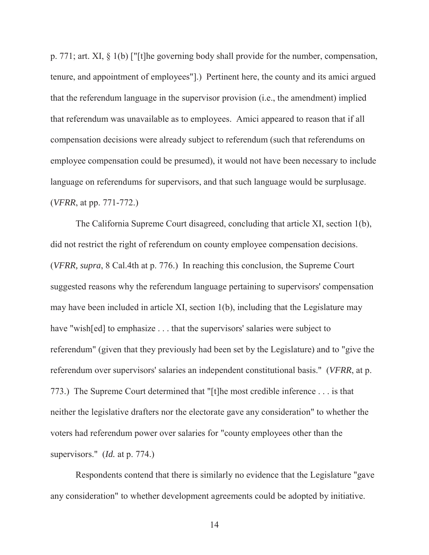p. 771; art. XI, § 1(b) ["[t]he governing body shall provide for the number, compensation, tenure, and appointment of employees"].) Pertinent here, the county and its amici argued that the referendum language in the supervisor provision (i.e., the amendment) implied that referendum was unavailable as to employees. Amici appeared to reason that if all compensation decisions were already subject to referendum (such that referendums on employee compensation could be presumed), it would not have been necessary to include language on referendums for supervisors, and that such language would be surplusage. (*VFRR*, at pp. 771-772.)

The California Supreme Court disagreed, concluding that article XI, section 1(b), did not restrict the right of referendum on county employee compensation decisions. (*VFRR, supra*, 8 Cal.4th at p. 776.) In reaching this conclusion, the Supreme Court suggested reasons why the referendum language pertaining to supervisors' compensation may have been included in article XI, section 1(b), including that the Legislature may have "wish[ed] to emphasize . . . that the supervisors' salaries were subject to referendum" (given that they previously had been set by the Legislature) and to "give the referendum over supervisors' salaries an independent constitutional basis." (*VFRR*, at p. 773.) The Supreme Court determined that "[t]he most credible inference . . . is that neither the legislative drafters nor the electorate gave any consideration" to whether the voters had referendum power over salaries for "county employees other than the supervisors." (*Id.* at p. 774.)

Respondents contend that there is similarly no evidence that the Legislature "gave any consideration" to whether development agreements could be adopted by initiative.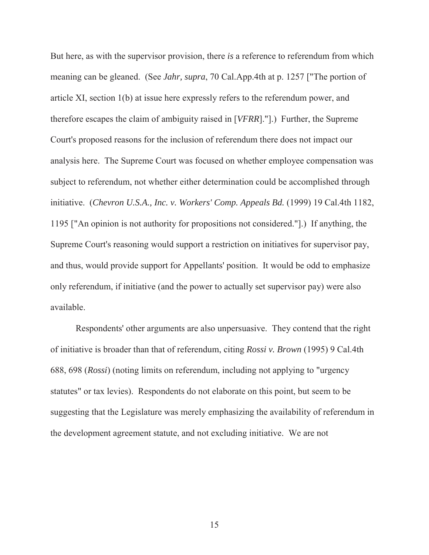But here, as with the supervisor provision, there *is* a reference to referendum from which meaning can be gleaned. (See *Jahr, supra*, 70 Cal.App.4th at p. 1257 ["The portion of article XI, section 1(b) at issue here expressly refers to the referendum power, and therefore escapes the claim of ambiguity raised in [*VFRR*]."].) Further, the Supreme Court's proposed reasons for the inclusion of referendum there does not impact our analysis here. The Supreme Court was focused on whether employee compensation was subject to referendum, not whether either determination could be accomplished through initiative. (*Chevron U.S.A., Inc. v. Workers' Comp. Appeals Bd.* (1999) 19 Cal.4th 1182, 1195 ["An opinion is not authority for propositions not considered."].) If anything, the Supreme Court's reasoning would support a restriction on initiatives for supervisor pay, and thus, would provide support for Appellants' position. It would be odd to emphasize only referendum, if initiative (and the power to actually set supervisor pay) were also available.

Respondents' other arguments are also unpersuasive. They contend that the right of initiative is broader than that of referendum, citing *Rossi v. Brown* (1995) 9 Cal.4th 688, 698 (*Rossi*) (noting limits on referendum, including not applying to "urgency statutes" or tax levies). Respondents do not elaborate on this point, but seem to be suggesting that the Legislature was merely emphasizing the availability of referendum in the development agreement statute, and not excluding initiative. We are not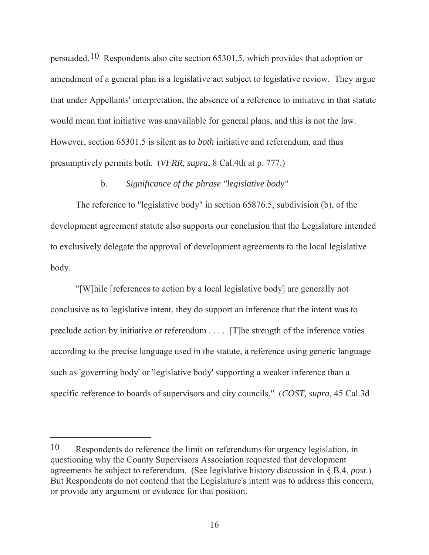persuaded.10 Respondents also cite section 65301.5, which provides that adoption or amendment of a general plan is a legislative act subject to legislative review. They argue that under Appellants' interpretation, the absence of a reference to initiative in that statute would mean that initiative was unavailable for general plans, and this is not the law. However, section 65301.5 is silent as to *both* initiative and referendum, and thus presumptively permits both. (*VFRR, supra*, 8 Cal.4th at p. 777.)

# b. *Significance of the phrase "legislative body"*

The reference to "legislative body" in section 65876.5, subdivision (b), of the development agreement statute also supports our conclusion that the Legislature intended to exclusively delegate the approval of development agreements to the local legislative body.

"[W]hile [references to action by a local legislative body] are generally not conclusive as to legislative intent, they do support an inference that the intent was to preclude action by initiative or referendum . . . . [T]he strength of the inference varies according to the precise language used in the statute, a reference using generic language such as 'governing body' or 'legislative body' supporting a weaker inference than a specific reference to boards of supervisors and city councils." (*COST, supra*, 45 Cal.3d

<sup>10</sup> Respondents do reference the limit on referendums for urgency legislation, in questioning why the County Supervisors Association requested that development agreements be subject to referendum. (See legislative history discussion in § B.4, *post*.) But Respondents do not contend that the Legislature's intent was to address this concern, or provide any argument or evidence for that position.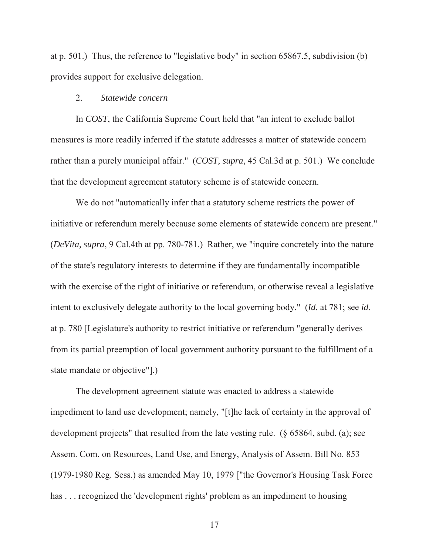at p. 501.) Thus, the reference to "legislative body" in section 65867.5, subdivision (b) provides support for exclusive delegation.

### 2. *Statewide concern*

In *COST*, the California Supreme Court held that "an intent to exclude ballot measures is more readily inferred if the statute addresses a matter of statewide concern rather than a purely municipal affair." (*COST, supra*, 45 Cal.3d at p. 501.) We conclude that the development agreement statutory scheme is of statewide concern.

We do not "automatically infer that a statutory scheme restricts the power of initiative or referendum merely because some elements of statewide concern are present." (*DeVita, supra*, 9 Cal.4th at pp. 780-781.) Rather, we "inquire concretely into the nature of the state's regulatory interests to determine if they are fundamentally incompatible with the exercise of the right of initiative or referendum, or otherwise reveal a legislative intent to exclusively delegate authority to the local governing body." (*Id.* at 781; see *id.* at p. 780 [Legislature's authority to restrict initiative or referendum "generally derives from its partial preemption of local government authority pursuant to the fulfillment of a state mandate or objective"].)

The development agreement statute was enacted to address a statewide impediment to land use development; namely, "[t]he lack of certainty in the approval of development projects" that resulted from the late vesting rule. (§ 65864, subd. (a); see Assem. Com. on Resources, Land Use, and Energy, Analysis of Assem. Bill No. 853 (1979-1980 Reg. Sess.) as amended May 10, 1979 ["the Governor's Housing Task Force has ... recognized the 'development rights' problem as an impediment to housing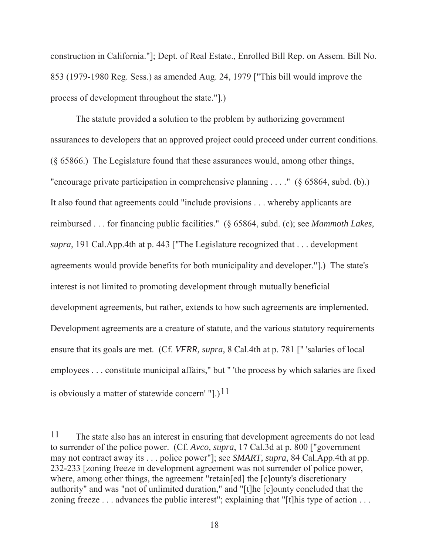construction in California."]; Dept. of Real Estate., Enrolled Bill Rep. on Assem. Bill No. 853 (1979-1980 Reg. Sess.) as amended Aug. 24, 1979 ["This bill would improve the process of development throughout the state."].)

The statute provided a solution to the problem by authorizing government assurances to developers that an approved project could proceed under current conditions. (§ 65866.) The Legislature found that these assurances would, among other things, "encourage private participation in comprehensive planning . . . ." (§ 65864, subd. (b).) It also found that agreements could "include provisions . . . whereby applicants are reimbursed . . . for financing public facilities." (§ 65864, subd. (c); see *Mammoth Lakes, supra*, 191 Cal.App.4th at p. 443 ["The Legislature recognized that . . . development agreements would provide benefits for both municipality and developer."].) The state's interest is not limited to promoting development through mutually beneficial development agreements, but rather, extends to how such agreements are implemented. Development agreements are a creature of statute, and the various statutory requirements ensure that its goals are met. (Cf. *VFRR, supra*, 8 Cal.4th at p. 781 [" 'salaries of local employees . . . constitute municipal affairs," but " 'the process by which salaries are fixed is obviously a matter of statewide concern' "[.)<sup>11</sup>

<sup>11</sup> The state also has an interest in ensuring that development agreements do not lead to surrender of the police power. (Cf. *Avco, supra*, 17 Cal.3d at p. 800 ["government may not contract away its . . . police power"]; see *SMART, supra*, 84 Cal.App.4th at pp. 232-233 [zoning freeze in development agreement was not surrender of police power, where, among other things, the agreement "retain [ed] the [c]ounty's discretionary authority" and was "not of unlimited duration," and "[t]he [c]ounty concluded that the zoning freeze . . . advances the public interest"; explaining that "[t] his type of action . . .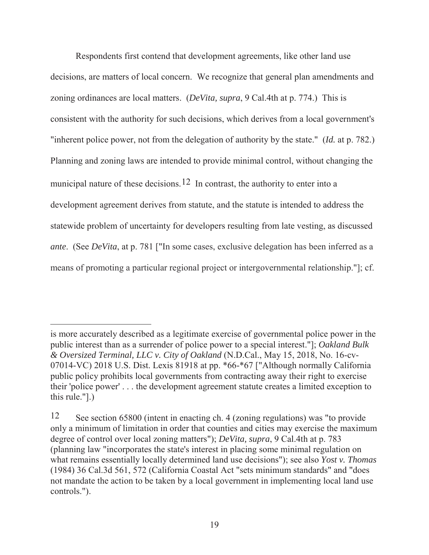Respondents first contend that development agreements, like other land use decisions, are matters of local concern. We recognize that general plan amendments and zoning ordinances are local matters. (*DeVita, supra*, 9 Cal.4th at p. 774.) This is consistent with the authority for such decisions, which derives from a local government's "inherent police power, not from the delegation of authority by the state." (*Id.* at p. 782.) Planning and zoning laws are intended to provide minimal control, without changing the municipal nature of these decisions.<sup>12</sup> In contrast, the authority to enter into a development agreement derives from statute, and the statute is intended to address the statewide problem of uncertainty for developers resulting from late vesting, as discussed *ante*. (See *DeVita*, at p. 781 ["In some cases, exclusive delegation has been inferred as a means of promoting a particular regional project or intergovernmental relationship."]; cf.

is more accurately described as a legitimate exercise of governmental police power in the public interest than as a surrender of police power to a special interest."]; *Oakland Bulk & Oversized Terminal, LLC v. City of Oakland* (N.D.Cal., May 15, 2018, No. 16-cv-07014-VC) 2018 U.S. Dist. Lexis 81918 at pp. \*66-\*67 ["Although normally California public policy prohibits local governments from contracting away their right to exercise their 'police power' . . . the development agreement statute creates a limited exception to this rule."].)

<sup>12</sup> See section 65800 (intent in enacting ch. 4 (zoning regulations) was "to provide only a minimum of limitation in order that counties and cities may exercise the maximum degree of control over local zoning matters"); *DeVita, supra*, 9 Cal.4th at p. 783 (planning law "incorporates the state's interest in placing some minimal regulation on what remains essentially locally determined land use decisions"); see also *Yost v. Thomas*  (1984) 36 Cal.3d 561, 572 (California Coastal Act "sets minimum standards" and "does not mandate the action to be taken by a local government in implementing local land use controls.").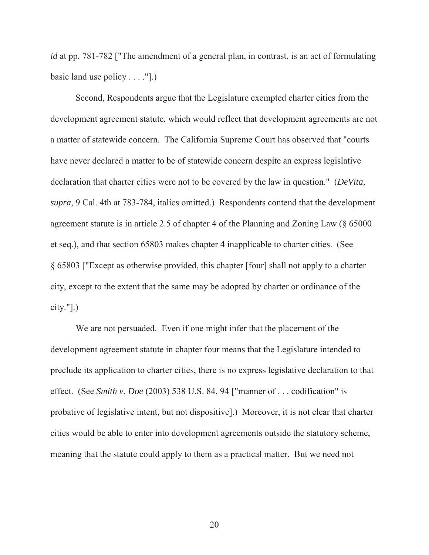*id* at pp. 781-782 ["The amendment of a general plan, in contrast, is an act of formulating basic land use policy . . . ."].)

Second, Respondents argue that the Legislature exempted charter cities from the development agreement statute, which would reflect that development agreements are not a matter of statewide concern. The California Supreme Court has observed that "courts have never declared a matter to be of statewide concern despite an express legislative declaration that charter cities were not to be covered by the law in question." (*DeVita, supra*, 9 Cal. 4th at 783-784, italics omitted.) Respondents contend that the development agreement statute is in article 2.5 of chapter 4 of the Planning and Zoning Law (§ 65000 et seq.), and that section 65803 makes chapter 4 inapplicable to charter cities. (See § 65803 ["Except as otherwise provided, this chapter [four] shall not apply to a charter city, except to the extent that the same may be adopted by charter or ordinance of the  $city."$ ].)

We are not persuaded. Even if one might infer that the placement of the development agreement statute in chapter four means that the Legislature intended to preclude its application to charter cities, there is no express legislative declaration to that effect. (See *Smith v. Doe* (2003) 538 U.S. 84, 94 ["manner of . . . codification" is probative of legislative intent, but not dispositive].) Moreover, it is not clear that charter cities would be able to enter into development agreements outside the statutory scheme, meaning that the statute could apply to them as a practical matter. But we need not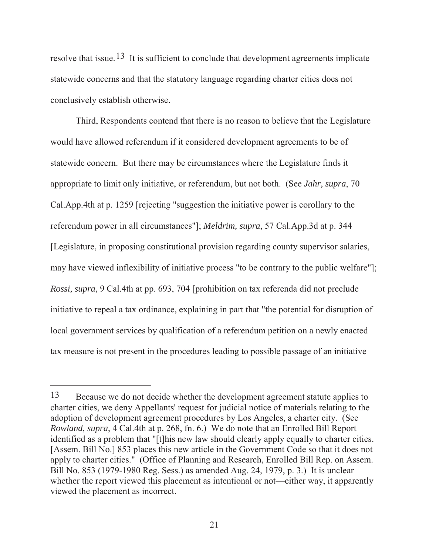resolve that issue.<sup>13</sup> It is sufficient to conclude that development agreements implicate statewide concerns and that the statutory language regarding charter cities does not conclusively establish otherwise.

Third, Respondents contend that there is no reason to believe that the Legislature would have allowed referendum if it considered development agreements to be of statewide concern. But there may be circumstances where the Legislature finds it appropriate to limit only initiative, or referendum, but not both. (See *Jahr, supra*, 70 Cal.App.4th at p. 1259 [rejecting "suggestion the initiative power is corollary to the referendum power in all circumstances"]; *Meldrim, supra*, 57 Cal.App.3d at p. 344 [Legislature, in proposing constitutional provision regarding county supervisor salaries, may have viewed inflexibility of initiative process "to be contrary to the public welfare"]; *Rossi, supra*, 9 Cal.4th at pp. 693, 704 [prohibition on tax referenda did not preclude initiative to repeal a tax ordinance, explaining in part that "the potential for disruption of local government services by qualification of a referendum petition on a newly enacted tax measure is not present in the procedures leading to possible passage of an initiative

<sup>13</sup> Because we do not decide whether the development agreement statute applies to charter cities, we deny Appellants' request for judicial notice of materials relating to the adoption of development agreement procedures by Los Angeles, a charter city. (See *Rowland, supra*, 4 Cal.4th at p. 268, fn. 6.) We do note that an Enrolled Bill Report identified as a problem that "[t]his new law should clearly apply equally to charter cities. [Assem. Bill No.] 853 places this new article in the Government Code so that it does not apply to charter cities." (Office of Planning and Research, Enrolled Bill Rep. on Assem. Bill No. 853 (1979-1980 Reg. Sess.) as amended Aug. 24, 1979, p. 3.) It is unclear whether the report viewed this placement as intentional or not—either way, it apparently viewed the placement as incorrect.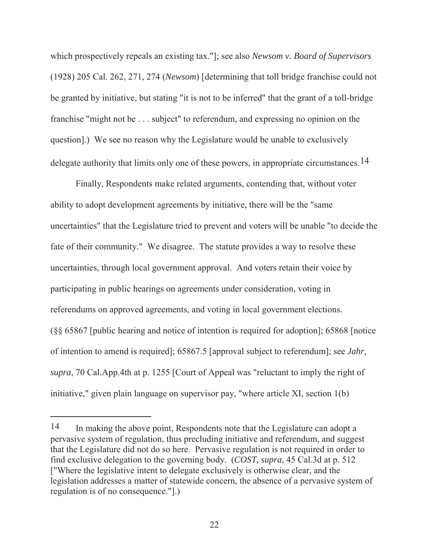which prospectively repeals an existing tax."]; see also *Newsom v. Board of Supervisors* (1928) 205 Cal. 262, 271, 274 (*Newsom*) [determining that toll bridge franchise could not be granted by initiative, but stating "it is not to be inferred" that the grant of a toll-bridge franchise "might not be . . . subject" to referendum, and expressing no opinion on the question].) We see no reason why the Legislature would be unable to exclusively delegate authority that limits only one of these powers, in appropriate circumstances.  $14$ 

Finally, Respondents make related arguments, contending that, without voter ability to adopt development agreements by initiative, there will be the "same uncertainties" that the Legislature tried to prevent and voters will be unable "to decide the fate of their community." We disagree. The statute provides a way to resolve these uncertainties, through local government approval. And voters retain their voice by participating in public hearings on agreements under consideration, voting in referendums on approved agreements, and voting in local government elections. (§§ 65867 [public hearing and notice of intention is required for adoption]; 65868 [notice of intention to amend is required]; 65867.5 [approval subject to referendum]; see *Jahr, supra*, 70 Cal.App.4th at p. 1255 [Court of Appeal was "reluctant to imply the right of initiative," given plain language on supervisor pay, "where article XI, section 1(b)

<sup>14</sup> In making the above point, Respondents note that the Legislature can adopt a pervasive system of regulation, thus precluding initiative and referendum, and suggest that the Legislature did not do so here. Pervasive regulation is not required in order to find exclusive delegation to the governing body. (*COST, supra*, 45 Cal.3d at p. 512 ["Where the legislative intent to delegate exclusively is otherwise clear, and the legislation addresses a matter of statewide concern, the absence of a pervasive system of regulation is of no consequence."].)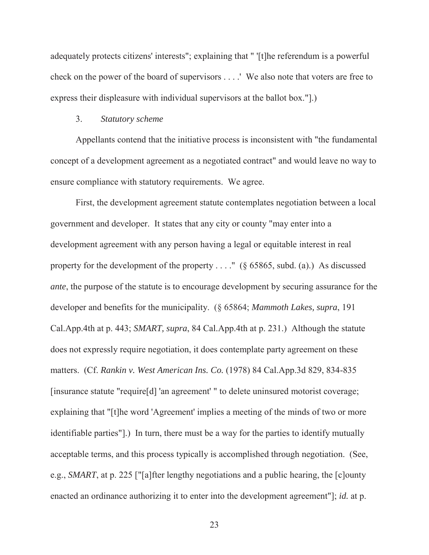adequately protects citizens' interests"; explaining that " '[t]he referendum is a powerful check on the power of the board of supervisors . . . .' We also note that voters are free to express their displeasure with individual supervisors at the ballot box."].)

#### 3. *Statutory scheme*

Appellants contend that the initiative process is inconsistent with "the fundamental concept of a development agreement as a negotiated contract" and would leave no way to ensure compliance with statutory requirements. We agree.

First, the development agreement statute contemplates negotiation between a local government and developer. It states that any city or county "may enter into a development agreement with any person having a legal or equitable interest in real property for the development of the property  $\dots$ ." (§ 65865, subd. (a).) As discussed *ante*, the purpose of the statute is to encourage development by securing assurance for the developer and benefits for the municipality. (§ 65864; *Mammoth Lakes, supra*, 191 Cal.App.4th at p. 443; *SMART, supra*, 84 Cal.App.4th at p. 231.) Although the statute does not expressly require negotiation, it does contemplate party agreement on these matters. (Cf. *Rankin v. West American Ins. Co.* (1978) 84 Cal.App.3d 829, 834-835 [insurance statute "require[d] 'an agreement' " to delete uninsured motorist coverage; explaining that "[t]he word 'Agreement' implies a meeting of the minds of two or more identifiable parties"].) In turn, there must be a way for the parties to identify mutually acceptable terms, and this process typically is accomplished through negotiation. (See, e.g., *SMART*, at p. 225 ["[a]fter lengthy negotiations and a public hearing, the [c]ounty enacted an ordinance authorizing it to enter into the development agreement"]; *id.* at p.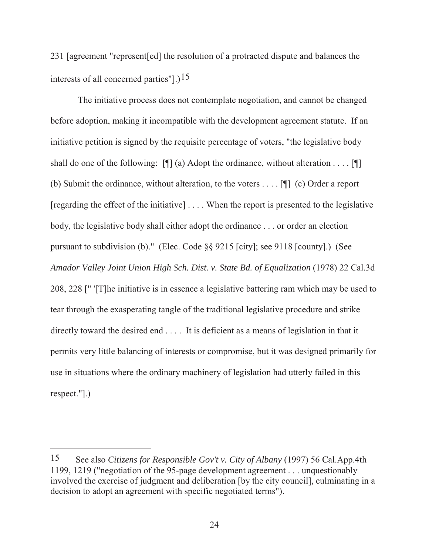231 [agreement "represent[ed] the resolution of a protracted dispute and balances the interests of all concerned parties"].)<sup>15</sup>

The initiative process does not contemplate negotiation, and cannot be changed before adoption, making it incompatible with the development agreement statute. If an initiative petition is signed by the requisite percentage of voters, "the legislative body shall do one of the following:  $[\n\mathcal{L}](a)$  Adopt the ordinance, without alteration . . . .  $[\n\mathcal{L}]$ (b) Submit the ordinance, without alteration, to the voters . . . . [¶] (c) Order a report [regarding the effect of the initiative] . . . . When the report is presented to the legislative body, the legislative body shall either adopt the ordinance . . . or order an election pursuant to subdivision (b)." (Elec. Code §§ 9215 [city]; see 9118 [county].) (See *Amador Valley Joint Union High Sch. Dist. v. State Bd. of Equalization* (1978) 22 Cal.3d 208, 228 [" '[T]he initiative is in essence a legislative battering ram which may be used to tear through the exasperating tangle of the traditional legislative procedure and strike directly toward the desired end . . . . It is deficient as a means of legislation in that it permits very little balancing of interests or compromise, but it was designed primarily for use in situations where the ordinary machinery of legislation had utterly failed in this respect."].)

<sup>15</sup> See also *Citizens for Responsible Gov't v. City of Albany* (1997) 56 Cal.App.4th 1199, 1219 ("negotiation of the 95-page development agreement . . . unquestionably involved the exercise of judgment and deliberation [by the city council], culminating in a decision to adopt an agreement with specific negotiated terms").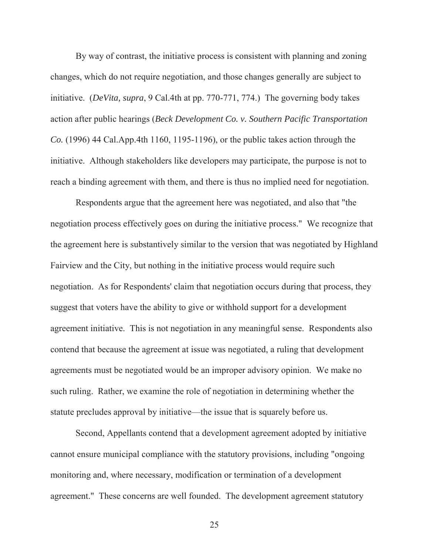By way of contrast, the initiative process is consistent with planning and zoning changes, which do not require negotiation, and those changes generally are subject to initiative. (*DeVita, supra*, 9 Cal.4th at pp. 770-771, 774.) The governing body takes action after public hearings (*Beck Development Co. v. Southern Pacific Transportation Co.* (1996) 44 Cal.App.4th 1160, 1195-1196), or the public takes action through the initiative. Although stakeholders like developers may participate, the purpose is not to reach a binding agreement with them, and there is thus no implied need for negotiation.

Respondents argue that the agreement here was negotiated, and also that "the negotiation process effectively goes on during the initiative process." We recognize that the agreement here is substantively similar to the version that was negotiated by Highland Fairview and the City, but nothing in the initiative process would require such negotiation. As for Respondents' claim that negotiation occurs during that process, they suggest that voters have the ability to give or withhold support for a development agreement initiative. This is not negotiation in any meaningful sense. Respondents also contend that because the agreement at issue was negotiated, a ruling that development agreements must be negotiated would be an improper advisory opinion. We make no such ruling. Rather, we examine the role of negotiation in determining whether the statute precludes approval by initiative—the issue that is squarely before us.

Second, Appellants contend that a development agreement adopted by initiative cannot ensure municipal compliance with the statutory provisions, including "ongoing monitoring and, where necessary, modification or termination of a development agreement." These concerns are well founded. The development agreement statutory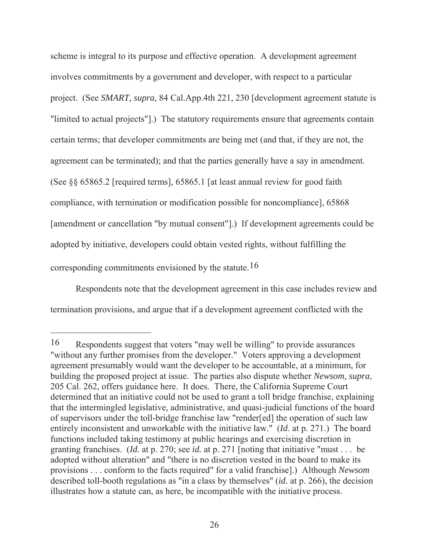scheme is integral to its purpose and effective operation. A development agreement involves commitments by a government and developer, with respect to a particular project. (See *SMART, supra*, 84 Cal.App.4th 221, 230 [development agreement statute is "limited to actual projects"].) The statutory requirements ensure that agreements contain certain terms; that developer commitments are being met (and that, if they are not, the agreement can be terminated); and that the parties generally have a say in amendment. (See §§ 65865.2 [required terms], 65865.1 [at least annual review for good faith compliance, with termination or modification possible for noncompliance], 65868 [amendment or cancellation "by mutual consent"].) If development agreements could be adopted by initiative, developers could obtain vested rights, without fulfilling the corresponding commitments envisioned by the statute.16

Respondents note that the development agreement in this case includes review and termination provisions, and argue that if a development agreement conflicted with the

<sup>16</sup> Respondents suggest that voters "may well be willing" to provide assurances "without any further promises from the developer." Voters approving a development agreement presumably would want the developer to be accountable, at a minimum, for building the proposed project at issue. The parties also dispute whether *Newsom, supra*, 205 Cal. 262, offers guidance here. It does. There, the California Supreme Court determined that an initiative could not be used to grant a toll bridge franchise, explaining that the intermingled legislative, administrative, and quasi-judicial functions of the board of supervisors under the toll-bridge franchise law "render[ed] the operation of such law entirely inconsistent and unworkable with the initiative law." (*Id*. at p. 271.) The board functions included taking testimony at public hearings and exercising discretion in granting franchises. (*Id.* at p. 270; see *id.* at p. 271 [noting that initiative "must . . . be adopted without alteration" and "there is no discretion vested in the board to make its provisions . . . conform to the facts required" for a valid franchise].) Although *Newsom* described toll-booth regulations as "in a class by themselves" (*id.* at p. 266), the decision illustrates how a statute can, as here, be incompatible with the initiative process.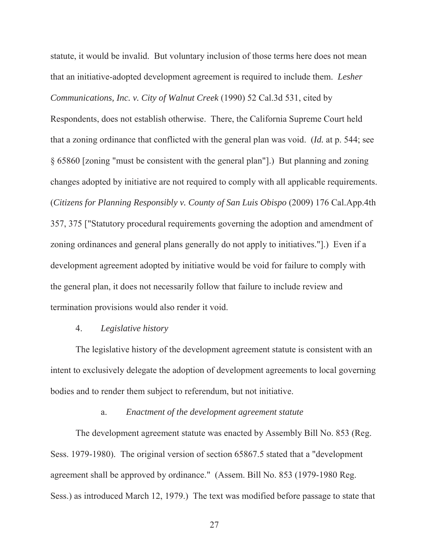statute, it would be invalid. But voluntary inclusion of those terms here does not mean that an initiative-adopted development agreement is required to include them. *Lesher Communications, Inc. v. City of Walnut Creek* (1990) 52 Cal.3d 531, cited by

Respondents, does not establish otherwise. There, the California Supreme Court held that a zoning ordinance that conflicted with the general plan was void. (*Id.* at p. 544; see § 65860 [zoning "must be consistent with the general plan"].) But planning and zoning changes adopted by initiative are not required to comply with all applicable requirements. (*Citizens for Planning Responsibly v. County of San Luis Obispo* (2009) 176 Cal.App.4th 357, 375 ["Statutory procedural requirements governing the adoption and amendment of zoning ordinances and general plans generally do not apply to initiatives."].) Even if a development agreement adopted by initiative would be void for failure to comply with the general plan, it does not necessarily follow that failure to include review and termination provisions would also render it void.

### 4. *Legislative history*

The legislative history of the development agreement statute is consistent with an intent to exclusively delegate the adoption of development agreements to local governing bodies and to render them subject to referendum, but not initiative.

## a. *Enactment of the development agreement statute*

The development agreement statute was enacted by Assembly Bill No. 853 (Reg. Sess. 1979-1980). The original version of section 65867.5 stated that a "development agreement shall be approved by ordinance." (Assem. Bill No. 853 (1979-1980 Reg. Sess.) as introduced March 12, 1979.) The text was modified before passage to state that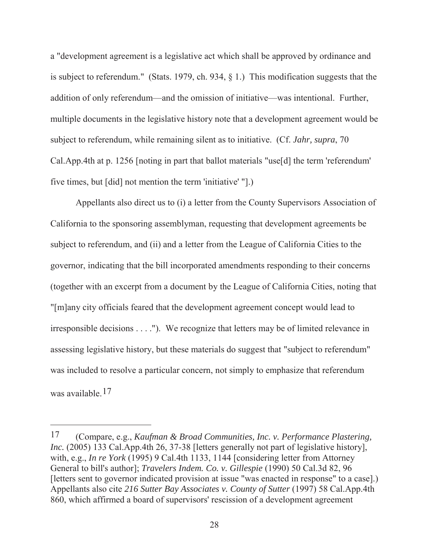a "development agreement is a legislative act which shall be approved by ordinance and is subject to referendum." (Stats. 1979, ch. 934, § 1.) This modification suggests that the addition of only referendum—and the omission of initiative—was intentional. Further, multiple documents in the legislative history note that a development agreement would be subject to referendum, while remaining silent as to initiative. (Cf. *Jahr, supra*, 70 Cal.App.4th at p. 1256 [noting in part that ballot materials "use[d] the term 'referendum' five times, but [did] not mention the term 'initiative' "].)

Appellants also direct us to (i) a letter from the County Supervisors Association of California to the sponsoring assemblyman, requesting that development agreements be subject to referendum, and (ii) and a letter from the League of California Cities to the governor, indicating that the bill incorporated amendments responding to their concerns (together with an excerpt from a document by the League of California Cities, noting that "[m]any city officials feared that the development agreement concept would lead to irresponsible decisions . . . ."). We recognize that letters may be of limited relevance in assessing legislative history, but these materials do suggest that "subject to referendum" was included to resolve a particular concern, not simply to emphasize that referendum was available.17

<sup>17</sup> (Compare, e.g., *Kaufman & Broad Communities, Inc. v. Performance Plastering, Inc.* (2005) 133 Cal.App.4th 26, 37-38 [letters generally not part of legislative history], with, e.g., *In re York* (1995) 9 Cal.4th 1133, 1144 [considering letter from Attorney General to bill's author]; *Travelers Indem. Co. v. Gillespie* (1990) 50 Cal.3d 82, 96 [letters sent to governor indicated provision at issue "was enacted in response" to a case].) Appellants also cite *216 Sutter Bay Associates v. County of Sutter* (1997) 58 Cal.App.4th 860, which affirmed a board of supervisors' rescission of a development agreement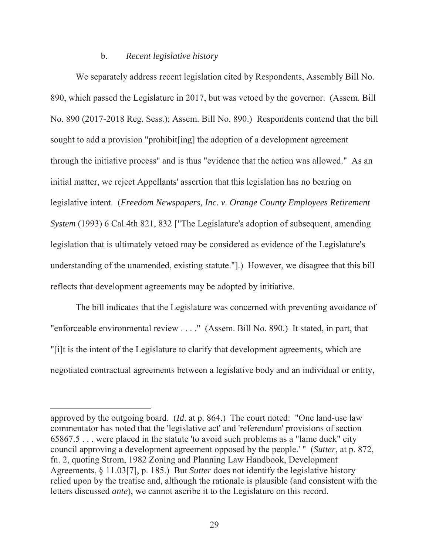#### b. *Recent legislative history*

We separately address recent legislation cited by Respondents, Assembly Bill No. 890, which passed the Legislature in 2017, but was vetoed by the governor. (Assem. Bill No. 890 (2017-2018 Reg. Sess.); Assem. Bill No. 890.) Respondents contend that the bill sought to add a provision "prohibit[ing] the adoption of a development agreement through the initiative process" and is thus "evidence that the action was allowed." As an initial matter, we reject Appellants' assertion that this legislation has no bearing on legislative intent. (*Freedom Newspapers, Inc. v. Orange County Employees Retirement System* (1993) 6 Cal.4th 821, 832 ["The Legislature's adoption of subsequent, amending legislation that is ultimately vetoed may be considered as evidence of the Legislature's understanding of the unamended, existing statute."].) However, we disagree that this bill reflects that development agreements may be adopted by initiative.

The bill indicates that the Legislature was concerned with preventing avoidance of "enforceable environmental review . . . ." (Assem. Bill No. 890.) It stated, in part, that "[i]t is the intent of the Legislature to clarify that development agreements, which are negotiated contractual agreements between a legislative body and an individual or entity,

approved by the outgoing board. (*Id*. at p. 864.) The court noted: "One land-use law commentator has noted that the 'legislative act' and 'referendum' provisions of section 65867.5 . . . were placed in the statute 'to avoid such problems as a "lame duck" city council approving a development agreement opposed by the people.' " (*Sutter*, at p. 872, fn. 2, quoting Strom, 1982 Zoning and Planning Law Handbook, Development Agreements, § 11.03[7], p. 185.) But *Sutter* does not identify the legislative history relied upon by the treatise and, although the rationale is plausible (and consistent with the letters discussed *ante*), we cannot ascribe it to the Legislature on this record.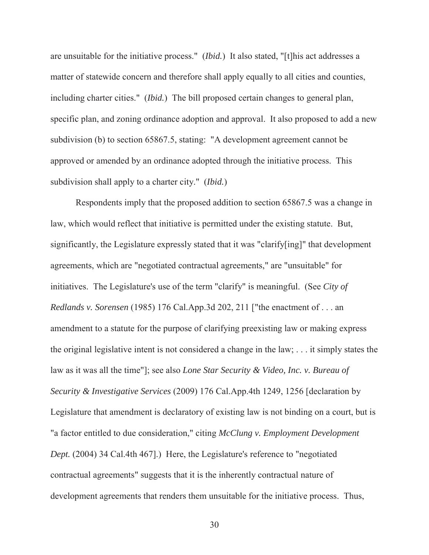are unsuitable for the initiative process." (*Ibid.*) It also stated, "[t]his act addresses a matter of statewide concern and therefore shall apply equally to all cities and counties, including charter cities." (*Ibid.*) The bill proposed certain changes to general plan, specific plan, and zoning ordinance adoption and approval. It also proposed to add a new subdivision (b) to section 65867.5, stating: "A development agreement cannot be approved or amended by an ordinance adopted through the initiative process. This subdivision shall apply to a charter city." (*Ibid.*)

Respondents imply that the proposed addition to section 65867.5 was a change in law, which would reflect that initiative is permitted under the existing statute. But, significantly, the Legislature expressly stated that it was "clarify[ing]" that development agreements, which are "negotiated contractual agreements," are "unsuitable" for initiatives. The Legislature's use of the term "clarify" is meaningful. (See *City of Redlands v. Sorensen* (1985) 176 Cal.App.3d 202, 211 ["the enactment of . . . an amendment to a statute for the purpose of clarifying preexisting law or making express the original legislative intent is not considered a change in the law; . . . it simply states the law as it was all the time"]; see also *Lone Star Security & Video, Inc. v. Bureau of Security & Investigative Services* (2009) 176 Cal.App.4th 1249, 1256 [declaration by Legislature that amendment is declaratory of existing law is not binding on a court, but is "a factor entitled to due consideration," citing *McClung v. Employment Development Dept.* (2004) 34 Cal.4th 467].) Here, the Legislature's reference to "negotiated contractual agreements" suggests that it is the inherently contractual nature of development agreements that renders them unsuitable for the initiative process. Thus,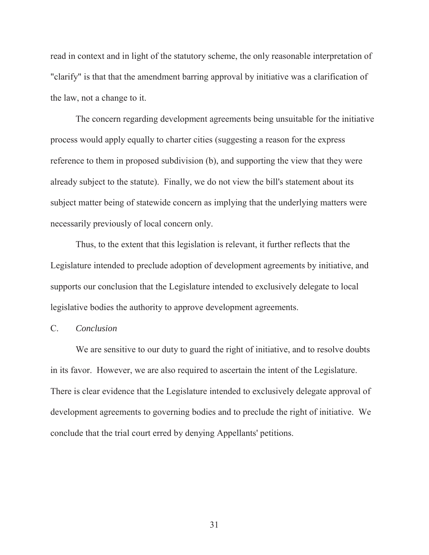read in context and in light of the statutory scheme, the only reasonable interpretation of "clarify" is that that the amendment barring approval by initiative was a clarification of the law, not a change to it.

The concern regarding development agreements being unsuitable for the initiative process would apply equally to charter cities (suggesting a reason for the express reference to them in proposed subdivision (b), and supporting the view that they were already subject to the statute). Finally, we do not view the bill's statement about its subject matter being of statewide concern as implying that the underlying matters were necessarily previously of local concern only.

Thus, to the extent that this legislation is relevant, it further reflects that the Legislature intended to preclude adoption of development agreements by initiative, and supports our conclusion that the Legislature intended to exclusively delegate to local legislative bodies the authority to approve development agreements.

### C. *Conclusion*

We are sensitive to our duty to guard the right of initiative, and to resolve doubts in its favor. However, we are also required to ascertain the intent of the Legislature. There is clear evidence that the Legislature intended to exclusively delegate approval of development agreements to governing bodies and to preclude the right of initiative. We conclude that the trial court erred by denying Appellants' petitions.